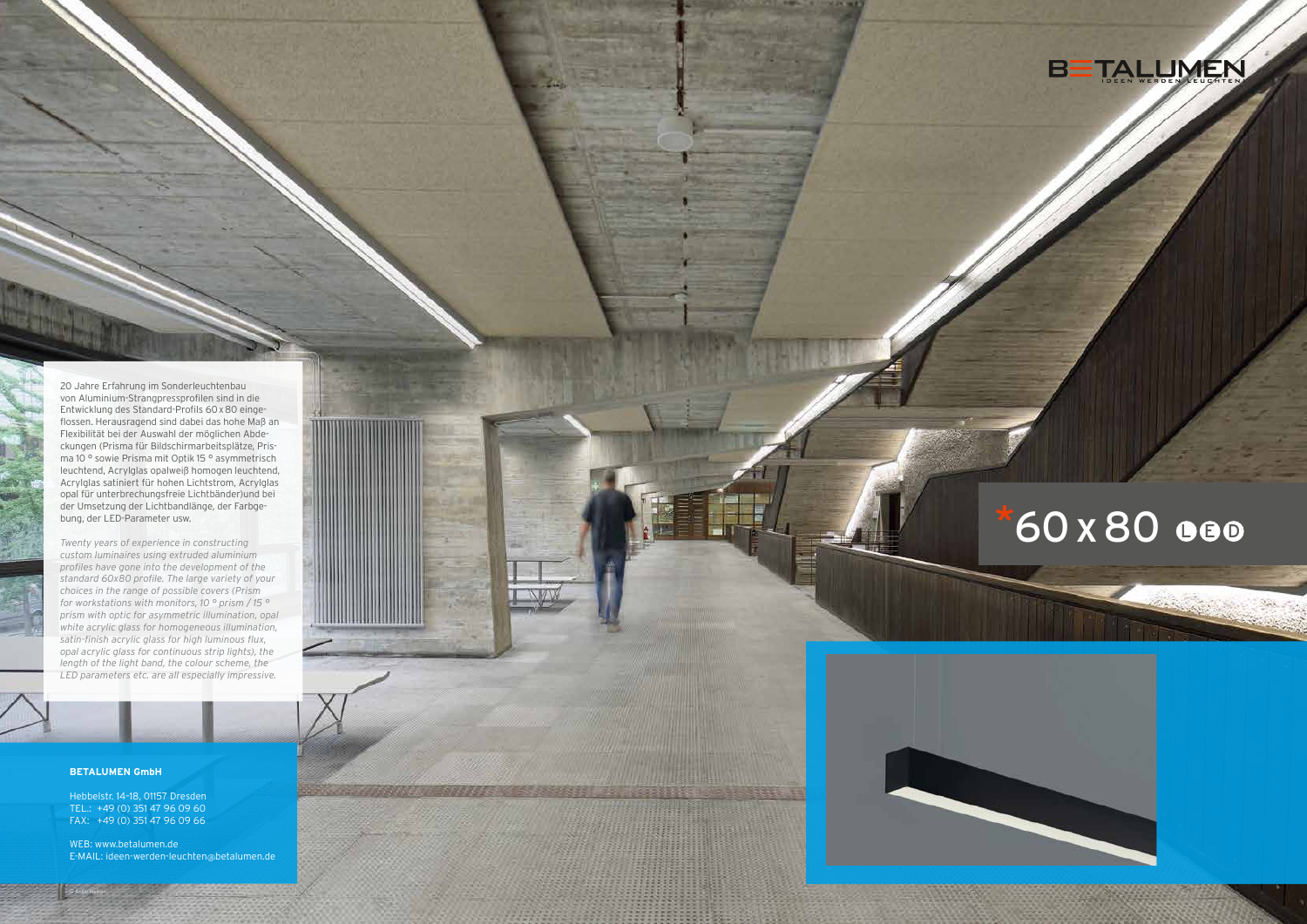

# \*60 x 80 000





### **BETALUMEN GmbH**

Hebbelstr. 14–18, 01157 Dresden TEL.: +49 (0) 351 47 96 09 60 FAX: +49 (0) 351 47 96 09 66

WEB: www.betalumen.de E-MAIL: ideen-werden-leuchten @betalumen.de

20 Jahre Erfahrung im Sonderleuchtenbau von Aluminium-Strangpressprofilen sind in die Entwicklung des Standard-Profils 60 x80 einge flossen. Herausragend sind dabei das hohe Maß an Flexibilität bei der Auswahl der möglichen Abde ckungen (Prisma für Bildschirmarbeitsplätze, Pris ma 10 ° sowie Prisma mit Optik 15 ° asymmetrisch leuchtend, Acrylglas opalweiß homogen leuchtend, Acrylglas satiniert für hohen Lichtstrom, Acrylglas opal für unterbrechungsfreie Lichtbänder)und bei der Umsetzung der Lichtbandlänge, der Farbge bung, der LED-Parameter usw.

*Twenty years of experience in constructing custom luminaires using extruded aluminium profiles have gone into the development of the standard 60x80 profile. The large variety of your choices in the range of possible covers (Prism for workstations with monitors, 10 ° prism / 15 ° prism with optic for asymmetric illumination, opal white acrylic glass for homogeneous illumination, satin-finish acrylic glass for high luminous flux, opal acrylic glass for continuous strip lights), the length of the light band, the colour scheme, the LED parameters etc. are all especially impressive.*

<u> Liberto de la provincia de la c</u>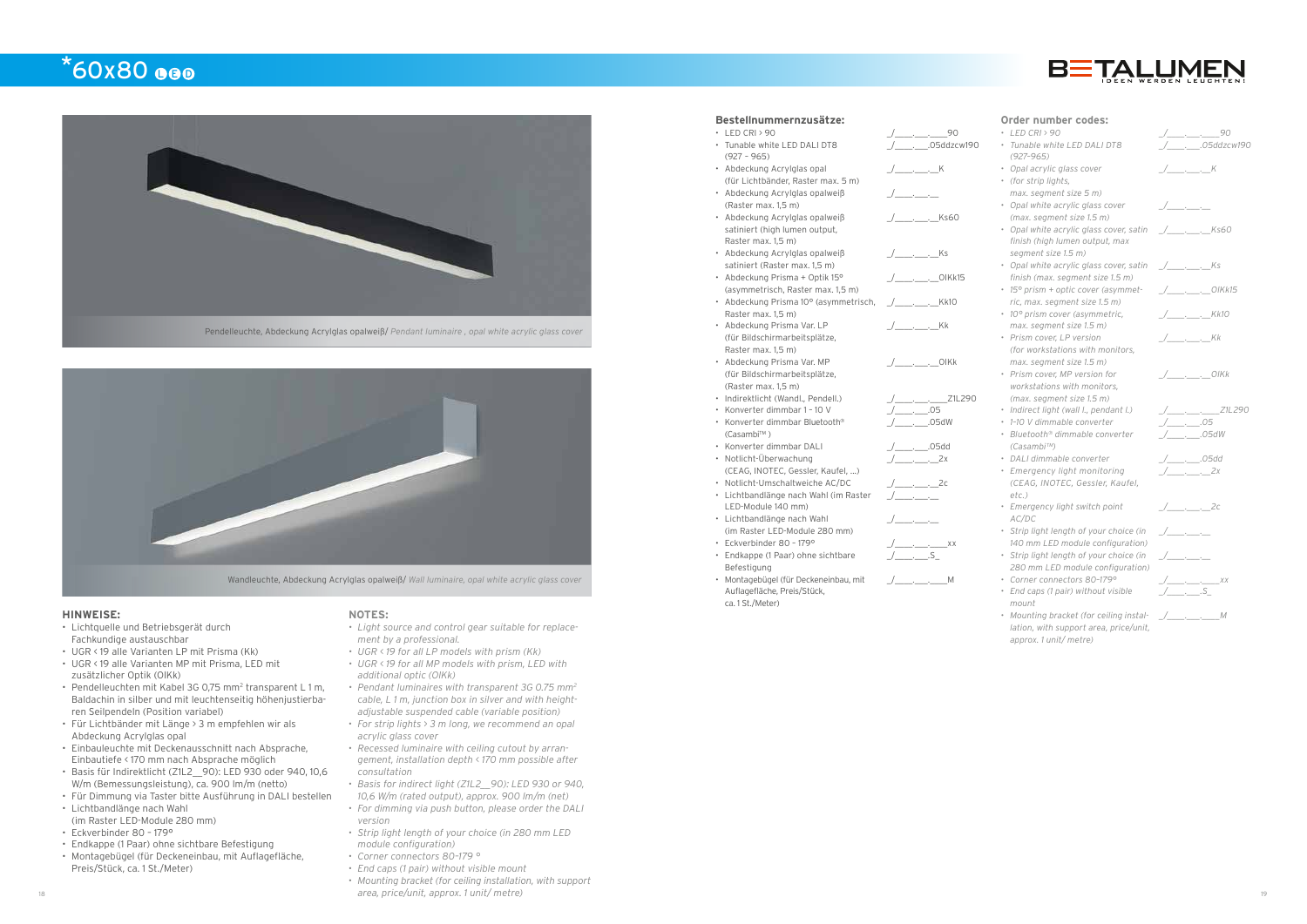### $*60x80$  eeo





Wandleuchte, Abdeckung Acrylglas opalweiß/ *Wall luminaire, opal white acrylic glass cover*

#### **HINWEISE:**

- Lichtquelle und Betriebsgerät durch Fachkundige austauschbar
- UGR < 19 alle Varianten LP mit Prisma (Kk)
- UGR < 19 alle Varianten MP mit Prisma, LED mit zusätzlicher Optik (OlKk)
- Pendelleuchten mit Kabel 3G 0,75 mm<sup>2</sup> transparent L 1 m, Baldachin in silber und mit leuchtenseitig höhenjustierbaren Seilpendeln (Position variabel)
- Für Lichtbänder mit Länge > 3 m empfehlen wir als Abdeckung Acrylglas opal
- Einbauleuchte mit Deckenausschnitt nach Absprache, Einbautiefe < 170 mm nach Absprache möglich
- Basis für Indirektlicht (Z1L2\_\_90): LED 930 oder 940, 10,6 W/m (Bemessungsleistung), ca. 900 lm/m (netto)
- Für Dimmung via Taster bitte Ausführung in DALI bestellen
- Lichtbandlänge nach Wahl
- (im Raster LED-Module 280 mm) • Eckverbinder 80 – 179°
- 
- Endkappe (1 Paar) ohne sichtbare Befestigung
- Montagebügel (für Deckeneinbau, mit Auflagefläche, Preis/Stück, ca. 1 St./Meter)

### **Bestellnummernzusätze:**

- LED CRI > 90  $\rightarrow$  00  $\rightarrow$  00  $\rightarrow$  00 • Tunable white LED DALI DT8 (927 – 965) • Abdeckung Acrylglas opal
- (für Lichtbänder, Raster max. 5 m) • Abdeckung Acrylglas opalweiß
- (Raster max. 1,5 m) • Abdeckung Acrylglas opalweiß satiniert (high lumen output,
- Raster max. 1,5 m) • Abdeckung Acrylglas opalweiß satiniert (Raster max. 1,5 m)
- Abdeckung Prisma + Optik 15°
- (asymmetrisch, Raster max. 1,5 m) • Abdeckung Prisma 10° (asymmetrisch,
- Raster max. 1,5 m)
- Abdeckung Prisma Var. LP (für Bildschirmarbeitsplätze, Raster max. 1,5 m)
- Abdeckung Prisma Var. MP (für Bildschirmarbeitsplätze, (Raster max. 1,5 m)
- 
- Indirektlicht (Wandl., Pendell.) \_/\_\_\_\_.\_\_\_.\_\_\_\_Z1L290 • Konverter dimmbar 1 - 10 V
- Konverter dimmbar Bluetooth® (Casambi™ )
- Konverter dimmbar DALI  $\_\_\_$ .05dd
- Notlicht-Überwachung
- (CEAG, INOTEC, Gessler, Kaufel, ...)
- Notlicht-Umschaltweiche AC/DC \_\_\_\_\_\_\_\_\_\_\_\_\_\_\_\_\_\_2c
- Lichtbandlänge nach Wahl (im Raster LED-Module 140 mm)
- Lichtbandlänge nach Wahl (im Raster LED-Module 280 mm)
- Fckverbinder  $80 179^\circ$
- Endkappe (1 Paar) ohne sichtbare Befestigung
- Montagebügel (für Deckeneinbau, mit Auflagefläche, Preis/Stück, ca. 1 St./Meter)
- $\sqrt{ \_\_\_\_\_\_\_\_\_\_\_\_\_\_\_\_\_\_\_\_\_\_\_\_\_\_\_\_$  $\frac{1}{2}$   $\frac{1}{2}$   $\frac{1}{2}$   $\frac{1}{2}$   $\frac{1}{2}$   $\frac{1}{2}$   $\frac{1}{2}$   $\frac{1}{2}$   $\frac{1}{2}$   $\frac{1}{2}$   $\frac{1}{2}$   $\frac{1}{2}$   $\frac{1}{2}$   $\frac{1}{2}$   $\frac{1}{2}$   $\frac{1}{2}$   $\frac{1}{2}$   $\frac{1}{2}$   $\frac{1}{2}$   $\frac{1}{2}$   $\frac{1}{2}$   $\frac{1}{2}$



\_/\_\_\_\_.\_\_\_.05ddzcw190

\_/\_\_\_\_.\_\_\_.\_\_K

 $\overline{a}$ 

\_/\_\_\_\_.\_\_\_.\_\_Ks60

\_/\_\_\_\_.\_\_\_.\_\_Ks

\_/\_\_\_\_.\_\_\_.\_\_OlKk15

\_/\_\_\_\_.\_\_\_.\_\_Kk10

\_/\_\_\_\_.\_\_\_.\_\_Kk

\_/\_\_\_\_.\_\_\_.\_\_OlKk

\_/\_\_\_\_.\_\_\_.05dW

\_/\_\_\_\_.\_\_\_.\_\_2x

 $\overline{\phantom{a}}$   $\overline{\phantom{a}}$   $\overline{\phantom{a}}$   $\overline{\phantom{a}}$   $\overline{\phantom{a}}$   $\overline{\phantom{a}}$   $\overline{\phantom{a}}$   $\overline{\phantom{a}}$   $\overline{\phantom{a}}$   $\overline{\phantom{a}}$   $\overline{\phantom{a}}$   $\overline{\phantom{a}}$   $\overline{\phantom{a}}$   $\overline{\phantom{a}}$   $\overline{\phantom{a}}$   $\overline{\phantom{a}}$   $\overline{\phantom{a}}$   $\overline{\phantom{a}}$   $\overline{\$ 

 $\overline{\phantom{a}}$   $\overline{\phantom{a}}$   $\overline{\phantom{a}}$   $\overline{\phantom{a}}$   $\overline{\phantom{a}}$   $\overline{\phantom{a}}$   $\overline{\phantom{a}}$   $\overline{\phantom{a}}$   $\overline{\phantom{a}}$   $\overline{\phantom{a}}$   $\overline{\phantom{a}}$   $\overline{\phantom{a}}$   $\overline{\phantom{a}}$   $\overline{\phantom{a}}$   $\overline{\phantom{a}}$   $\overline{\phantom{a}}$   $\overline{\phantom{a}}$   $\overline{\phantom{a}}$   $\overline{\$ 

#### **NOTES:**

- *• Light source and control gear suitable for replacement by a professional.*
- *• UGR < 19 for all LP models with prism (Kk)*
- *• UGR < 19 for all MP models with prism, LED with additional optic (OlKk)*
- *• Pendant luminaires with transparent 3G 0.75 mm2 cable, L 1 m, junction box in silver and with heightadjustable suspended cable (variable position)*
- *• For strip lights > 3 m long, we recommend an opal acrylic glass cover*
- *• Recessed luminaire with ceiling cutout by arrangement, installation depth < 170 mm possible after consultation*
- *• Basis for indirect light (Z1L2\_\_90): LED 930 or 940, 10,6 W/m (rated output), approx. 900 lm/m (net)*
- *• For dimming via push button, please order the DALI version*
- *• Strip light length of your choice (in 280 mm LED module configuration)*
- *• Corner connectors 80–179 °*
- *• End caps (1 pair) without visible mount*
- 18 19 *area, price/unit, approx. 1 unit/ metre) • Mounting bracket (for ceiling installation, with support*

### **Order number codes:**



 $\overline{M}$ 

- *• Tunable white LED DALI DT8 (927–965)*
- *• Opal acrylic glass cover*
- *• (for strip lights, max. segment size 5 m)*
- *• Opal white acrylic glass cover (max. segment size 1.5 m)*
- *• Opal white acrylic glass cover, satin \_/\_\_\_\_.\_\_\_.\_\_Ks60 finish (high lumen output, max segment size 1.5 m)*
- *• Opal white acrylic glass cover, satin \_/\_\_\_\_.\_\_\_.\_\_Ks finish (max. segment size 1.5 m)*
- *• 15° prism + optic cover (asymmetric, max. segment size 1.5 m)*
- *• 10° prism cover (asymmetric, max. segment size 1.5 m)*
- *• Prism cover, LP version (for workstations with monitors, max. segment size 1.5 m)*
- *• Prism cover, MP version for workstations with monitors, (max. segment size 1.5 m)*
- *• Indirect light (wall l., pendant l.) \_/\_\_\_\_.\_\_\_.\_\_\_\_Z1L290*
- *• 1–10 V dimmable converter \_/\_\_\_\_.\_\_\_.05*
- *• Bluetooth® dimmable converter (Casambi™)*
- *• DALI dimmable converter \_/\_\_\_\_.\_\_\_.05dd*
- *• Emergency light monitoring (CEAG, INOTEC, Gessler, Kaufel, etc.)*
- *• Emergency light switch point AC/DC*
- *• Strip light length of your choice (in 140 mm LED module configuration)*
- *• Strip light length of your choice (in 280 mm LED module configuration)*
- *• Corner connectors 80–179° \_/\_\_\_\_.\_\_\_.\_\_\_\_xx*
- *• End caps (1 pair) without visible mount*
- *• Mounting bracket (for ceiling installation, with support area, price/unit, approx. 1 unit/ metre)*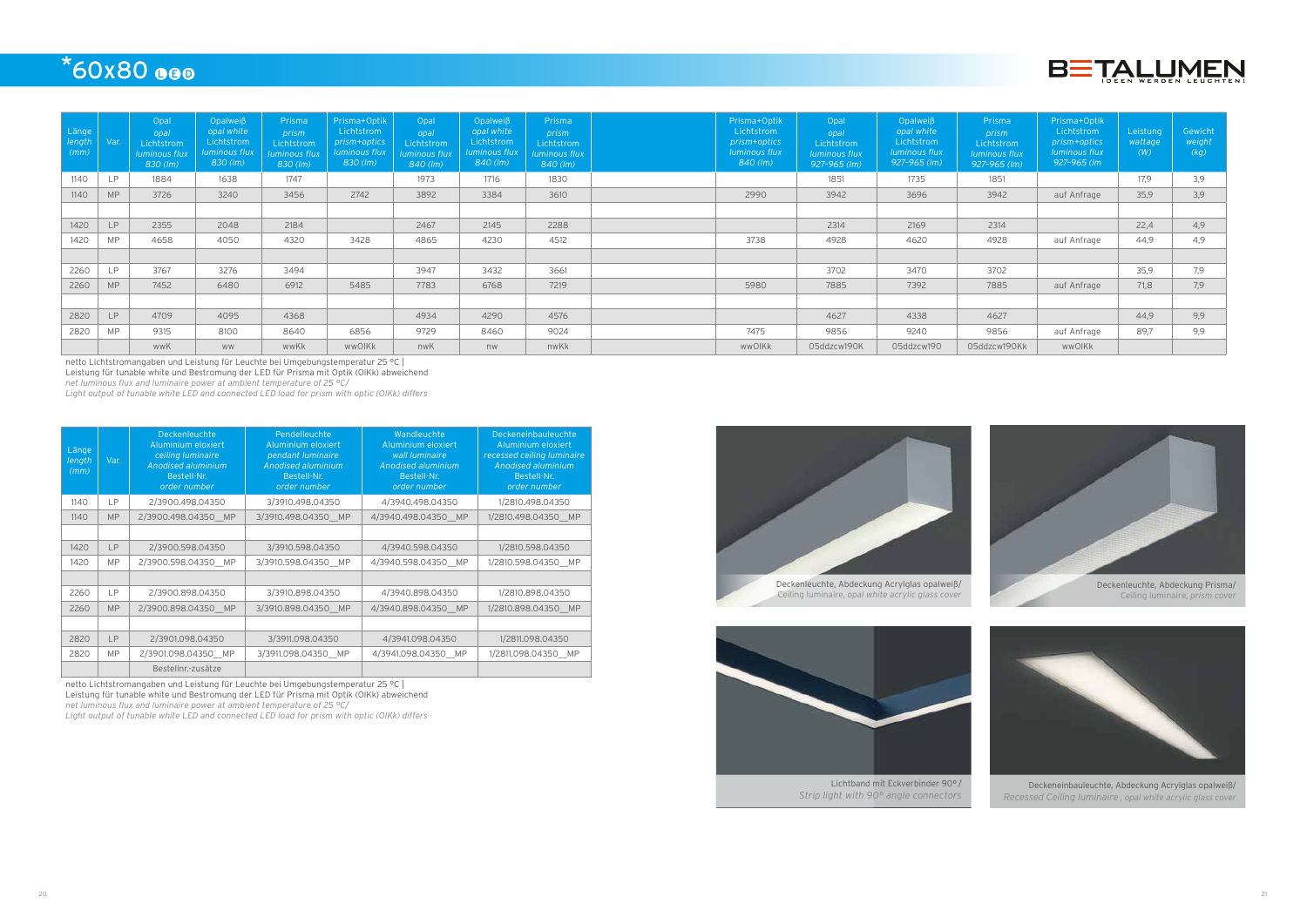







Lichtband mit Eckverbinder 90° / *Strip light with 90° angle connectors*



Deckeneinbauleuchte, Abdeckung Acrylglas opalweiß/ *Recessed Ceiling luminaire , opal white acrylic glass cover*

## $*60x80$  eeo

| Länge<br>length<br>(mm) | Var.      | Opal<br>opal<br>Lichtstrom<br><b>luminous flux</b><br>$830$ (lm) | Opalweiß<br>opal white<br>Lichtstrom<br>luminous flux<br>$830$ (lm) | Prisma<br>prism<br>Lichtstrom<br>luminous flux<br>830 (lm) | Prisma+Optik<br>Lichtstrom<br>prism+optics<br><b>luminous flux</b><br>$830$ (lm) | Opal<br>opal<br>Lichtstrom<br><b>luminous flux</b><br>840 (lm) | Opalweiß<br>opal white<br>Lichtstrom<br>luminous flux<br>$840$ (lm) | Prisma<br>prism<br>Lichtstrom<br>uminous flux<br>840 (lm) | Prisma+Optik<br>Lichtstrom<br>prism+optics<br>luminous flux<br>840 (lm) | Opal<br>opal<br>Lichtstrom<br>luminous flux<br>927-965 (lm) | Opalweiß<br>opal white<br>Lichtstrom<br>luminous flux<br>$927 - 965$ (lm) | Prisma<br>prism<br>Lichtstrom<br><b>luminous flux</b><br>927-965 (Im) | Prisma+Optik<br>Lichtstrom<br>prism+optics<br><i>luminous flux</i><br>927-965 (lm | Leistung<br>wattage<br>(W) | Gewicht<br>weight<br>(kg) |
|-------------------------|-----------|------------------------------------------------------------------|---------------------------------------------------------------------|------------------------------------------------------------|----------------------------------------------------------------------------------|----------------------------------------------------------------|---------------------------------------------------------------------|-----------------------------------------------------------|-------------------------------------------------------------------------|-------------------------------------------------------------|---------------------------------------------------------------------------|-----------------------------------------------------------------------|-----------------------------------------------------------------------------------|----------------------------|---------------------------|
| 1140                    | <b>LP</b> | 1884                                                             | 1638                                                                | 1747                                                       |                                                                                  | 1973                                                           | 1716                                                                | 1830                                                      |                                                                         | 1851                                                        | 1735                                                                      | 1851                                                                  |                                                                                   | 17,9                       | 3,9                       |
| 1140                    | <b>MP</b> | 3726                                                             | 3240                                                                | 3456                                                       | 2742                                                                             | 3892                                                           | 3384                                                                | 3610                                                      | 2990                                                                    | 3942                                                        | 3696                                                                      | 3942                                                                  | auf Anfrage                                                                       | 35,9                       | 3,9                       |
|                         |           |                                                                  |                                                                     |                                                            |                                                                                  |                                                                |                                                                     |                                                           |                                                                         |                                                             |                                                                           |                                                                       |                                                                                   |                            |                           |
| 1420                    | LP        | 2355                                                             | 2048                                                                | 2184                                                       |                                                                                  | 2467                                                           | 2145                                                                | 2288                                                      |                                                                         | 2314                                                        | 2169                                                                      | 2314                                                                  |                                                                                   | 22,4                       | 4,9                       |
| 1420                    | <b>MP</b> | 4658                                                             | 4050                                                                | 4320                                                       | 3428                                                                             | 4865                                                           | 4230                                                                | 4512                                                      | 3738                                                                    | 4928                                                        | 4620                                                                      | 4928                                                                  | auf Anfrage                                                                       | 44.9                       | 4,9                       |
|                         |           |                                                                  |                                                                     |                                                            |                                                                                  |                                                                |                                                                     |                                                           |                                                                         |                                                             |                                                                           |                                                                       |                                                                                   |                            |                           |
| 2260                    | <b>LP</b> | 3767                                                             | 3276                                                                | 3494                                                       |                                                                                  | 3947                                                           | 3432                                                                | 3661                                                      |                                                                         | 3702                                                        | 3470                                                                      | 3702                                                                  |                                                                                   | 35,9                       | 7,9                       |
| 2260                    | <b>MP</b> | 7452                                                             | 6480                                                                | 6912                                                       | 5485                                                                             | 7783                                                           | 6768                                                                | 7219                                                      | 5980                                                                    | 7885                                                        | 7392                                                                      | 7885                                                                  | auf Anfrage                                                                       | 71,8                       | 7,9                       |
|                         |           |                                                                  |                                                                     |                                                            |                                                                                  |                                                                |                                                                     |                                                           |                                                                         |                                                             |                                                                           |                                                                       |                                                                                   |                            |                           |
| 2820                    | LP        | 4709                                                             | 4095                                                                | 4368                                                       |                                                                                  | 4934                                                           | 4290                                                                | 4576                                                      |                                                                         | 4627                                                        | 4338                                                                      | 4627                                                                  |                                                                                   | 44,9                       | 9,9                       |
| 2820                    | <b>MP</b> | 9315                                                             | 8100                                                                | 8640                                                       | 6856                                                                             | 9729                                                           | 8460                                                                | 9024                                                      | 7475                                                                    | 9856                                                        | 9240                                                                      | 9856                                                                  | auf Anfrage                                                                       | 89,7                       | 9,9                       |
|                         |           | wwK                                                              | <b>WW</b>                                                           | wwKk                                                       | wwOIKk                                                                           | nwK                                                            | nw                                                                  | nwKk                                                      | wwOlKk                                                                  | 05ddzcw190K                                                 | 05ddzcw190                                                                | 05ddzcw190Kk                                                          | wwOIKk                                                                            |                            |                           |

netto Lichtstromangaben und Leistung für Leuchte bei Umgebungstemperatur 25 °C | Leistung für tunable white und Bestromung der LED für Prisma mit Optik (OlKk) abweichend *net luminous flux and luminaire power at ambient temperature of 25 °C/*

*Light output of tunable white LED and connected LED load for prism with optic (OlKk) differs*

| Länge<br>length<br>(mm) | Var.      | <b>Deckenleuchte</b><br>Aluminium eloxiert<br>ceiling luminaire<br>Anodised aluminium<br>Bestell-Nr.<br>order number | Pendelleuchte<br>Aluminium eloxiert<br>pendant luminaire<br>Anodised aluminium<br>Bestell-Nr.<br>order number | Wandleuchte<br>Aluminium eloxiert<br>wall luminaire<br><b>Anodised aluminium</b><br>Bestell-Nr.<br>order number | Deckeneinbauleuchte<br>Aluminium eloxiert<br>recessed ceiling luminaire<br>Anodised aluminium<br>Bestell-Nr.<br>order number |
|-------------------------|-----------|----------------------------------------------------------------------------------------------------------------------|---------------------------------------------------------------------------------------------------------------|-----------------------------------------------------------------------------------------------------------------|------------------------------------------------------------------------------------------------------------------------------|
| 1140                    | LР        | 2/3900.498.04350                                                                                                     | 3/3910.498.04350                                                                                              | 4/3940.498.04350                                                                                                | 1/2810.498.04350                                                                                                             |
| 1140                    | <b>MP</b> | 2/3900.498.04350 MP                                                                                                  | 3/3910.498.04350 MP                                                                                           | 4/3940.498.04350 MP                                                                                             | 1/2810.498.04350 MP                                                                                                          |
|                         |           |                                                                                                                      |                                                                                                               |                                                                                                                 |                                                                                                                              |
| 1420                    | LP        | 2/3900.598.04350                                                                                                     | 3/3910.598.04350                                                                                              | 4/3940.598.04350                                                                                                | 1/2810.598.04350                                                                                                             |
| 1420                    | <b>MP</b> | 2/3900.598.04350 MP                                                                                                  | 3/3910.598.04350 MP                                                                                           | 4/3940.598.04350 MP                                                                                             | 1/2810.598.04350 MP                                                                                                          |
|                         |           |                                                                                                                      |                                                                                                               |                                                                                                                 |                                                                                                                              |
| 2260                    | LР        | 2/3900.898.04350                                                                                                     | 3/3910.898.04350                                                                                              | 4/3940.898.04350                                                                                                | 1/2810.898.04350                                                                                                             |
| 2260                    | <b>MP</b> | 2/3900.898.04350 MP                                                                                                  | 3/3910.898.04350 MP                                                                                           | 4/3940.898.04350 MP                                                                                             | 1/2810.898.04350 MP                                                                                                          |
|                         |           |                                                                                                                      |                                                                                                               |                                                                                                                 |                                                                                                                              |
| 2820                    | LP        | 2/3901.098.04350                                                                                                     | 3/3911.098.04350                                                                                              | 4/3941.098.04350                                                                                                | 1/2811.098.04350                                                                                                             |
| 2820                    | <b>MP</b> | 2/3901.098.04350 MP                                                                                                  | 3/3911.098.04350 MP                                                                                           | 4/3941.098.04350 MP                                                                                             | 1/2811.098.04350 MP                                                                                                          |
|                         |           | Bestellnr.-zusätze                                                                                                   |                                                                                                               |                                                                                                                 |                                                                                                                              |

netto Lichtstromangaben und Leistung für Leuchte bei Umgebungstemperatur 25 °C | Leistung für tunable white und Bestromung der LED für Prisma mit Optik (OlKk) abweichend

*net luminous flux and luminaire power at ambient temperature of 25 °C/ Light output of tunable white LED and connected LED load for prism with optic (OlKk) differs*